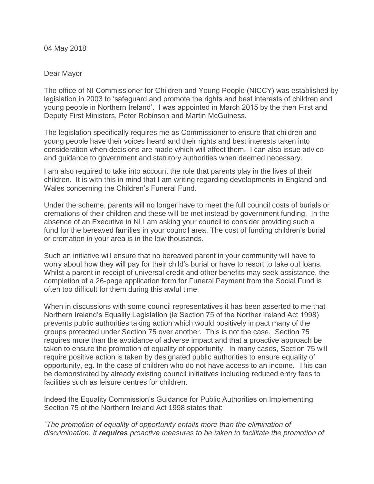04 May 2018

## Dear Mayor

The office of NI Commissioner for Children and Young People (NICCY) was established by legislation in 2003 to 'safeguard and promote the rights and best interests of children and young people in Northern Ireland'. I was appointed in March 2015 by the then First and Deputy First Ministers, Peter Robinson and Martin McGuiness.

The legislation specifically requires me as Commissioner to ensure that children and young people have their voices heard and their rights and best interests taken into consideration when decisions are made which will affect them. I can also issue advice and guidance to government and statutory authorities when deemed necessary.

I am also required to take into account the role that parents play in the lives of their children. It is with this in mind that I am writing regarding developments in England and Wales concerning the Children's Funeral Fund.

Under the scheme, parents will no longer have to meet the full council costs of burials or cremations of their children and these will be met instead by government funding. In the absence of an Executive in NI I am asking your council to consider providing such a fund for the bereaved families in your council area. The cost of funding children's burial or cremation in your area is in the low thousands.

Such an initiative will ensure that no bereaved parent in your community will have to worry about how they will pay for their child's burial or have to resort to take out loans. Whilst a parent in receipt of universal credit and other benefits may seek assistance, the completion of a 26-page application form for Funeral Payment from the Social Fund is often too difficult for them during this awful time.

When in discussions with some council representatives it has been asserted to me that Northern Ireland's Equality Legislation (ie Section 75 of the Norther Ireland Act 1998) prevents public authorities taking action which would positively impact many of the groups protected under Section 75 over another. This is not the case. Section 75 requires more than the avoidance of adverse impact and that a proactive approach be taken to ensure the promotion of equality of opportunity. In many cases, Section 75 will require positive action is taken by designated public authorities to ensure equality of opportunity, eg. In the case of children who do not have access to an income. This can be demonstrated by already existing council initiatives including reduced entry fees to facilities such as leisure centres for children.

Indeed the Equality Commission's Guidance for Public Authorities on Implementing Section 75 of the Northern Ireland Act 1998 states that:

*"The promotion of equality of opportunity entails more than the elimination of discrimination. It requires proactive measures to be taken to facilitate the promotion of*